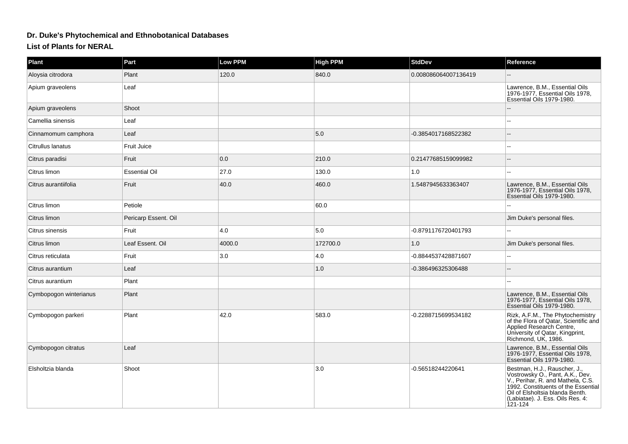## **Dr. Duke's Phytochemical and Ethnobotanical Databases**

**List of Plants for NERAL**

| <b>Plant</b>           | Part                 | <b>Low PPM</b> | <b>High PPM</b> | <b>StdDev</b>        | Reference                                                                                                                                                                                                                     |
|------------------------|----------------------|----------------|-----------------|----------------------|-------------------------------------------------------------------------------------------------------------------------------------------------------------------------------------------------------------------------------|
| Aloysia citrodora      | Plant                | 120.0          | 840.0           | 0.008086064007136419 |                                                                                                                                                                                                                               |
| Apium graveolens       | Leaf                 |                |                 |                      | Lawrence, B.M., Essential Oils<br>1976-1977, Essential Oils 1978,<br>Essential Oils 1979-1980.                                                                                                                                |
| Apium graveolens       | Shoot                |                |                 |                      |                                                                                                                                                                                                                               |
| Camellia sinensis      | Leaf                 |                |                 |                      |                                                                                                                                                                                                                               |
| Cinnamomum camphora    | Leaf                 |                | 5.0             | -0.3854017168522382  | $\overline{\phantom{a}}$                                                                                                                                                                                                      |
| Citrullus lanatus      | Fruit Juice          |                |                 |                      |                                                                                                                                                                                                                               |
| Citrus paradisi        | Fruit                | 0.0            | 210.0           | 0.21477685159099982  |                                                                                                                                                                                                                               |
| Citrus limon           | <b>Essential Oil</b> | 27.0           | 130.0           | 1.0                  | $\overline{a}$                                                                                                                                                                                                                |
| Citrus aurantiifolia   | Fruit                | 40.0           | 460.0           | 1.5487945633363407   | Lawrence, B.M., Essential Oils<br>1976-1977, Essential Oils 1978,<br>Essential Oils 1979-1980.                                                                                                                                |
| Citrus limon           | Petiole              |                | 60.0            |                      |                                                                                                                                                                                                                               |
| Citrus limon           | Pericarp Essent. Oil |                |                 |                      | Jim Duke's personal files.                                                                                                                                                                                                    |
| Citrus sinensis        | Fruit                | 4.0            | 5.0             | -0.8791176720401793  | L.                                                                                                                                                                                                                            |
| Citrus limon           | Leaf Essent. Oil     | 4000.0         | 172700.0        | 1.0                  | Jim Duke's personal files.                                                                                                                                                                                                    |
| Citrus reticulata      | Fruit                | 3.0            | 4.0             | -0.8844537428871607  | $\sim$                                                                                                                                                                                                                        |
| Citrus aurantium       | Leaf                 |                | $1.0$           | -0.386496325306488   |                                                                                                                                                                                                                               |
| Citrus aurantium       | Plant                |                |                 |                      |                                                                                                                                                                                                                               |
| Cymbopogon winterianus | Plant                |                |                 |                      | Lawrence, B.M., Essential Oils<br>1976-1977, Essential Oils 1978,<br>Essential Oils 1979-1980.                                                                                                                                |
| Cymbopogon parkeri     | Plant                | 42.0           | 583.0           | -0.2288715699534182  | Rizk, A.F.M., The Phytochemistry<br>of the Flora of Qatar, Scientific and<br>Applied Research Centre,<br>University of Qatar, Kingprint,<br>Richmond, UK, 1986.                                                               |
| Cymbopogon citratus    | Leaf                 |                |                 |                      | Lawrence, B.M., Essential Oils<br>1976-1977, Essential Oils 1978,<br>Essential Oils 1979-1980.                                                                                                                                |
| Elsholtzia blanda      | Shoot                |                | 3.0             | -0.56518244220641    | Bestman, H.J., Rauscher, J.,<br>Vostrowsky O., Pant, A.K., Dev.<br>V., Perihar, R. and Mathela, C.S.<br>1992. Constituents of the Essential<br>Oil of Elsholtsia blanda Benth.<br>(Labiatae). J. Ess. Oils Res. 4:<br>121-124 |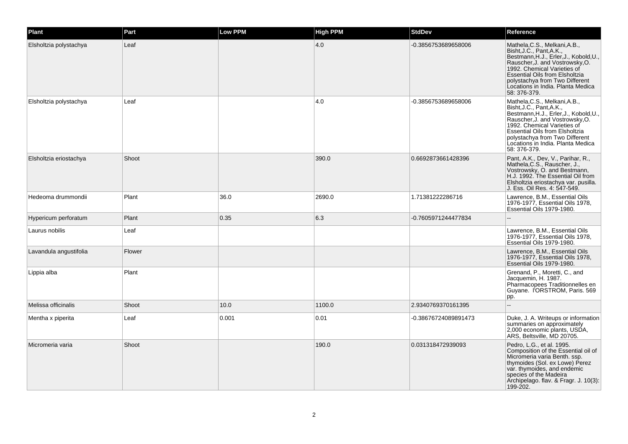| Plant                  | Part   | Low PPM | <b>High PPM</b> | <b>StdDev</b>        | Reference                                                                                                                                                                                                                                                                                             |
|------------------------|--------|---------|-----------------|----------------------|-------------------------------------------------------------------------------------------------------------------------------------------------------------------------------------------------------------------------------------------------------------------------------------------------------|
| Elsholtzia polystachya | Leaf   |         | 4.0             | -0.3856753689658006  | Mathela, C.S., Melkani, A.B.,<br>Bisht, J.C., Pant, A.K.,<br>Bestmann, H.J., Erler, J., Kobold, U.<br>Rauscher, J. and Vostrowsky, O.<br>1992. Chemical Varieties of<br><b>Essential Oils from Elsholtzia</b><br>polystachya from Two Different<br>Locations in India. Planta Medica<br>58: 376-379.  |
| Elsholtzia polystachya | Leaf   |         | 4.0             | -0.3856753689658006  | Mathela, C.S., Melkani, A.B.,<br>Bisht, J.C., Pant, A.K.,<br>Bestmann, H.J., Erler, J., Kobold, U.,<br>Rauscher, J. and Vostrowsky, O.<br>1992. Chemical Varieties of<br><b>Essential Oils from Elsholtzia</b><br>polystachya from Two Different<br>Locations in India. Planta Medica<br>58: 376-379. |
| Elsholtzia eriostachya | Shoot  |         | 390.0           | 0.6692873661428396   | Pant, A.K., Dev, V., Parihar, R.,<br>Mathela, C.S., Rauscher, J.,<br>Vostrowsky, O. and Bestmann,<br>H.J. 1992. The Essential Oil from<br>Elsholtzia eriostachya var. pusilla.<br>J. Ess. Oil Res. 4: 547-549.                                                                                        |
| Hedeoma drummondii     | Plant  | 36.0    | 2690.0          | 1.71381222286716     | Lawrence, B.M., Essential Oils<br>1976-1977, Essential Oils 1978,<br>Essential Oils 1979-1980.                                                                                                                                                                                                        |
| Hypericum perforatum   | Plant  | 0.35    | 6.3             | -0.7605971244477834  |                                                                                                                                                                                                                                                                                                       |
| Laurus nobilis         | Leaf   |         |                 |                      | Lawrence, B.M., Essential Oils<br>1976-1977, Essential Oils 1978,<br>Essential Oils 1979-1980.                                                                                                                                                                                                        |
| Lavandula angustifolia | Flower |         |                 |                      | Lawrence, B.M., Essential Oils<br>1976-1977, Essential Oils 1978,<br>Essential Oils 1979-1980.                                                                                                                                                                                                        |
| Lippia alba            | Plant  |         |                 |                      | Grenand, P., Moretti, C., and<br>Jacquemin, H. 1987.<br>Pharmacopees Traditionnelles en<br>Guyane. I'ORSTROM, Paris. 569<br>pp.                                                                                                                                                                       |
| Melissa officinalis    | Shoot  | 10.0    | 1100.0          | 2.9340769370161395   |                                                                                                                                                                                                                                                                                                       |
| Mentha x piperita      | Leaf   | 0.001   | 0.01            | -0.38676724089891473 | Duke, J. A. Writeups or information<br>summaries on approximately<br>2,000 economic plants, USDA,<br>ARS, Beltsville, MD 20705.                                                                                                                                                                       |
| Micromeria varia       | Shoot  |         | 190.0           | 0.031318472939093    | Pedro, L.G., et al. 1995.<br>Composition of the Essential oil of<br>Micromeria varia Benth. ssp.<br>thymoides (Sol. ex Lowe) Perez<br>var. thymoides, and endemic<br>species of the Madeira<br>Archipelago. flav. & Fragr. J. 10(3):<br>199-202.                                                      |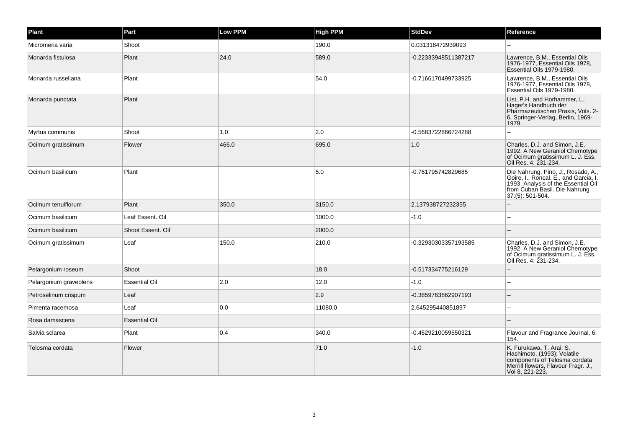| Plant                  | Part                 | Low PPM | <b>High PPM</b> | <b>StdDev</b>        | Reference                                                                                                                                                               |
|------------------------|----------------------|---------|-----------------|----------------------|-------------------------------------------------------------------------------------------------------------------------------------------------------------------------|
| Micromeria varia       | Shoot                |         | 190.0           | 0.031318472939093    |                                                                                                                                                                         |
| Monarda fistulosa      | Plant                | 24.0    | 589.0           | -0.22333948511387217 | Lawrence, B.M., Essential Oils<br>1976-1977, Essential Oils 1978,<br>Essential Oils 1979-1980.                                                                          |
| Monarda russeliana     | Plant                |         | 54.0            | -0.7166170499733925  | Lawrence, B.M., Essential Oils<br>1976-1977, Essential Oils 1978,<br>Essential Oils 1979-1980.                                                                          |
| Monarda punctata       | Plant                |         |                 |                      | List, P.H. and Horhammer, L.,<br>Hager's Handbuch der<br>Pharmazeutischen Praxis, Vols. 2-<br>6, Springer-Verlag, Berlin, 1969-<br>1979.                                |
| Myrtus communis        | Shoot                | 1.0     | $ 2.0\rangle$   | -0.5683722866724288  |                                                                                                                                                                         |
| Ocimum gratissimum     | Flower               | 466.0   | 695.0           | 1.0                  | Charles, D.J. and Simon, J.E.<br>1992. A New Geraniol Chemotype<br>of Ocimum gratissimum L. J. Ess.<br>Oil Res. 4: 231-234.                                             |
| Ocimum basilicum       | Plant                |         | 5.0             | -0.761795742829685   | Die Nahrung. Pino, J., Rosado, A.,<br>Goire, I., Roncal, E., and Garcia, I.<br>1993. Analysis of the Essential Oil<br>from Cuban Basil. Die Nahrung<br>37:(5): 501-504. |
| Ocimum tenuiflorum     | Plant                | 350.0   | 3150.0          | 2.137938727232355    | ż.                                                                                                                                                                      |
| Ocimum basilicum       | Leaf Essent. Oil     |         | 1000.0          | $-1.0$               |                                                                                                                                                                         |
| Ocimum basilicum       | Shoot Essent. Oil    |         | 2000.0          |                      |                                                                                                                                                                         |
| Ocimum gratissimum     | Leaf                 | 150.0   | 210.0           | -0.32930303357193585 | Charles, D.J. and Simon, J.E.<br>1992. A New Geraniol Chemotype<br>of Ocimum gratissimum L. J. Ess.<br>Oil Res. 4: 231-234.                                             |
| Pelargonium roseum     | Shoot                |         | 18.0            | -0.517334775216129   |                                                                                                                                                                         |
| Pelargonium graveolens | <b>Essential Oil</b> | 2.0     | 12.0            | $-1.0$               |                                                                                                                                                                         |
| Petroselinum crispum   | Leaf                 |         | $\vert$ 2.9     | -0.3859763862907193  |                                                                                                                                                                         |
| Pimenta racemosa       | Leaf                 | 0.0     | 11080.0         | 2.645295440851897    |                                                                                                                                                                         |
| Rosa damascena         | <b>Essential Oil</b> |         |                 |                      |                                                                                                                                                                         |
| Salvia sclarea         | Plant                | 0.4     | 340.0           | -0.4529210059550321  | Flavour and Fragrance Journal, 6:<br>154.                                                                                                                               |
| Telosma cordata        | Flower               |         | 71.0            | $-1.0$               | K. Furukawa, T. Arai, S.<br>Hashimoto, (1993); Volatile<br>components of Telosma cordata<br>Merrill flowers, Flavour Fragr. J.,<br>Vol 8, 221-223.                      |